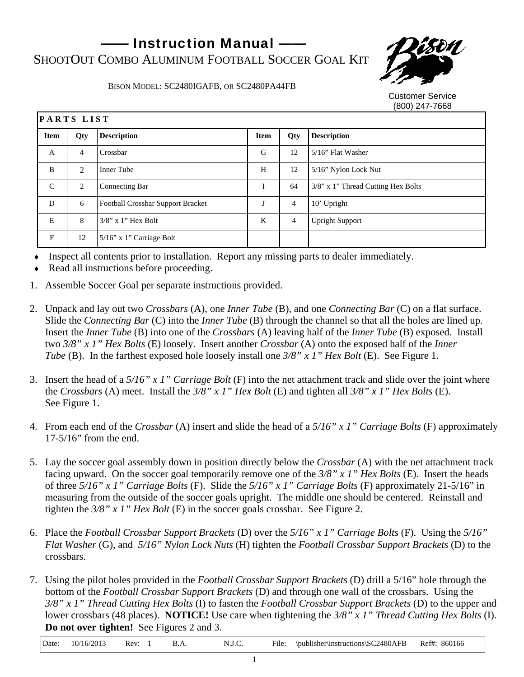- Instruction Manual -SHOOTOUT COMBO ALUMINUM FOOTBALL SOCCER GOAL KIT



BISON MODEL: SC2480IGAFB, OR SC2480PA44FB

Customer Service (800) 247-7668

| PARTS LIST    |                |                                          |             |                |                                       |
|---------------|----------------|------------------------------------------|-------------|----------------|---------------------------------------|
| <b>Item</b>   | Qty            | <b>Description</b>                       | <b>Item</b> | Qty            | <b>Description</b>                    |
| A             | $\overline{4}$ | Crossbar                                 | G           | 12             | $5/16$ " Flat Washer                  |
| B             | $\mathfrak{D}$ | Inner Tube                               | H           | 12             | 5/16" Nylon Lock Nut                  |
| $\mathcal{C}$ | 2              | Connecting Bar                           | I           | 64             | $3/8$ " x 1" Thread Cutting Hex Bolts |
| D             | 6              | <b>Football Crossbar Support Bracket</b> |             | $\overline{4}$ | 10' Upright                           |
| E             | 8              | $3/8$ " x 1" Hex Bolt                    | K           | $\overline{4}$ | <b>Upright Support</b>                |
| F             | 12             | $5/16$ " x 1" Carriage Bolt              |             |                |                                       |

- Inspect all contents prior to installation. Report any missing parts to dealer immediately.
- Read all instructions before proceeding.
- 1. Assemble Soccer Goal per separate instructions provided.
- 2. Unpack and lay out two *Crossbars* (A), one *Inner Tube* (B), and one *Connecting Bar* (C) on a flat surface. Slide the *Connecting Bar* (C) into the *Inner Tube* (B) through the channel so that all the holes are lined up. Insert the *Inner Tube* (B) into one of the *Crossbars* (A) leaving half of the *Inner Tube* (B) exposed. Install two *3/8" x 1" Hex Bolts* (E) loosely. Insert another *Crossbar* (A) onto the exposed half of the *Inner Tube* (B). In the farthest exposed hole loosely install one *3/8" x 1" Hex Bolt* (E). See Figure 1.
- 3. Insert the head of a *5/16" x 1" Carriage Bolt* (F) into the net attachment track and slide over the joint where the *Crossbars* (A) meet. Install the *3/8" x 1" Hex Bolt* (E) and tighten all *3/8" x 1" Hex Bolts* (E). See Figure 1.
- 4. From each end of the *Crossbar* (A) insert and slide the head of a *5/16" x 1" Carriage Bolts* (F) approximately 17-5/16" from the end.
- 5. Lay the soccer goal assembly down in position directly below the *Crossbar* (A) with the net attachment track facing upward. On the soccer goal temporarily remove one of the *3/8" x 1" Hex Bolts* (E). Insert the heads of three *5/16" x 1" Carriage Bolts* (F). Slide the *5/16" x 1" Carriage Bolts* (F) approximately 21-5/16" in measuring from the outside of the soccer goals upright. The middle one should be centered. Reinstall and tighten the *3/8" x 1" Hex Bolt* (E) in the soccer goals crossbar. See Figure 2.
- 6. Place the *Football Crossbar Support Brackets* (D) over the *5/16" x 1" Carriage Bolts* (F). Using the *5/16" Flat Washer* (G), and *5/16" Nylon Lock Nuts* (H) tighten the *Football Crossbar Support Brackets* (D) to the crossbars.
- 7. Using the pilot holes provided in the *Football Crossbar Support Brackets* (D) drill a 5/16" hole through the bottom of the *Football Crossbar Support Brackets* (D) and through one wall of the crossbars. Using the *3/8" x 1" Thread Cutting Hex Bolts* (I) to fasten the *Football Crossbar Support Brackets* (D) to the upper and lower crossbars (48 places). **NOTICE!** Use care when tightening the *3/8" x 1" Thread Cutting Hex Bolts* (I). **Do not over tighten!** See Figures 2 and 3.

Date: 10/16/2013 Rev: 1 B.A. N.J.C. File: \publisher\instructions\SC2480AFB Ref#: 860166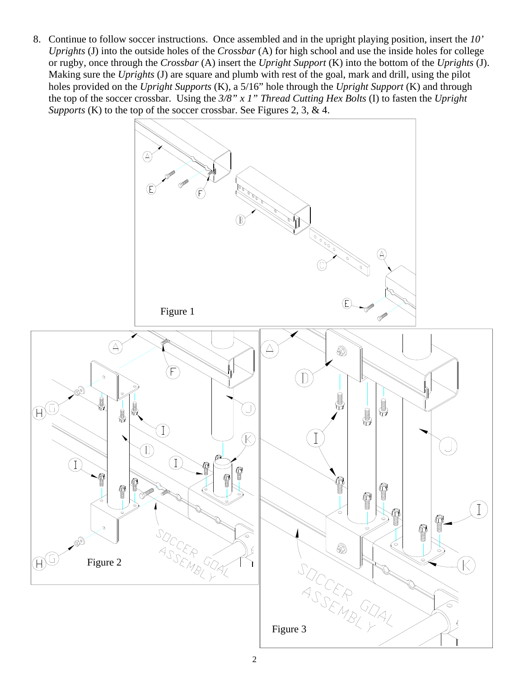8. Continue to follow soccer instructions. Once assembled and in the upright playing position, insert the *10' Uprights* (J) into the outside holes of the *Crossbar* (A) for high school and use the inside holes for college or rugby, once through the *Crossbar* (A) insert the *Upright Support* (K) into the bottom of the *Uprights* (J). Making sure the *Uprights* (J) are square and plumb with rest of the goal, mark and drill, using the pilot holes provided on the *Upright Supports* (K), a 5/16" hole through the *Upright Support* (K) and through the top of the soccer crossbar. Using the *3/8" x 1" Thread Cutting Hex Bolts* (I) to fasten the *Upright Supports* (K) to the top of the soccer crossbar. See Figures 2, 3, & 4.

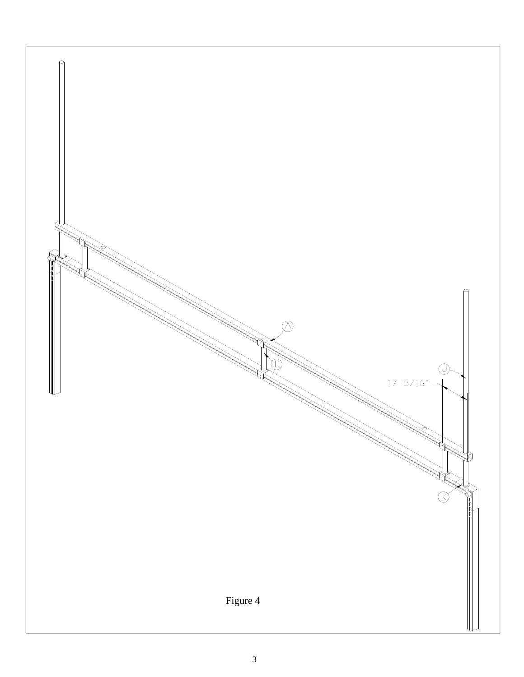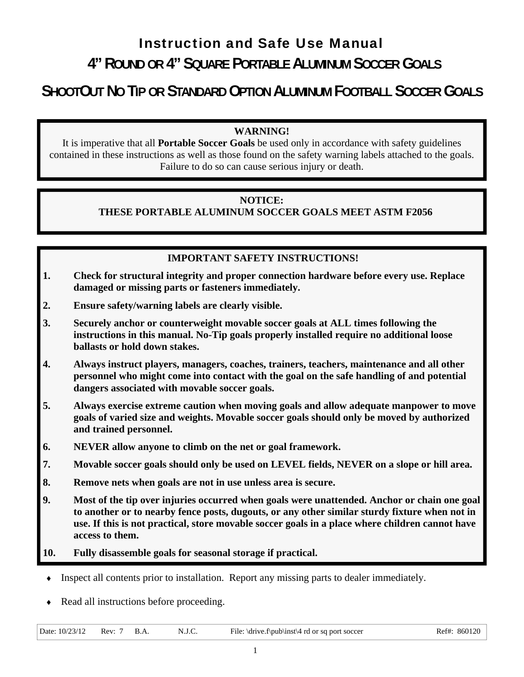# Instruction and Safe Use Manual

## **4" ROUND OR 4" SQUARE PORTABLE ALUMINUM SOCCER GOALS**

# **SHOOTOUT NO TIP OR STANDARD OPTION ALUMINUM FOOTBALL SOCCER GOALS**

### **WARNING!**

It is imperative that all **Portable Soccer Goals** be used only in accordance with safety guidelines contained in these instructions as well as those found on the safety warning labels attached to the goals. Failure to do so can cause serious injury or death.

### **NOTICE:**

## **THESE PORTABLE ALUMINUM SOCCER GOALS MEET ASTM F2056**

### **IMPORTANT SAFETY INSTRUCTIONS!**

- **1. Check for structural integrity and proper connection hardware before every use. Replace damaged or missing parts or fasteners immediately.**
- **2. Ensure safety/warning labels are clearly visible.**
- **3. Securely anchor or counterweight movable soccer goals at ALL times following the instructions in this manual. No-Tip goals properly installed require no additional loose ballasts or hold down stakes.**
- **4. Always instruct players, managers, coaches, trainers, teachers, maintenance and all other personnel who might come into contact with the goal on the safe handling of and potential dangers associated with movable soccer goals.**
- **5. Always exercise extreme caution when moving goals and allow adequate manpower to move goals of varied size and weights. Movable soccer goals should only be moved by authorized and trained personnel.**
- **6. NEVER allow anyone to climb on the net or goal framework.**
- **7. Movable soccer goals should only be used on LEVEL fields, NEVER on a slope or hill area.**
- **8. Remove nets when goals are not in use unless area is secure.**
- **9. Most of the tip over injuries occurred when goals were unattended. Anchor or chain one goal to another or to nearby fence posts, dugouts, or any other similar sturdy fixture when not in use. If this is not practical, store movable soccer goals in a place where children cannot have access to them.**
- **10. Fully disassemble goals for seasonal storage if practical.**
- ♦ Inspect all contents prior to installation. Report any missing parts to dealer immediately.
- Read all instructions before proceeding.

Date:  $10/23/12$  Rev: 7 B.A. N.J.C. File: \drive.f\pub\inst\4 rd or sq port soccer Ref#: 860120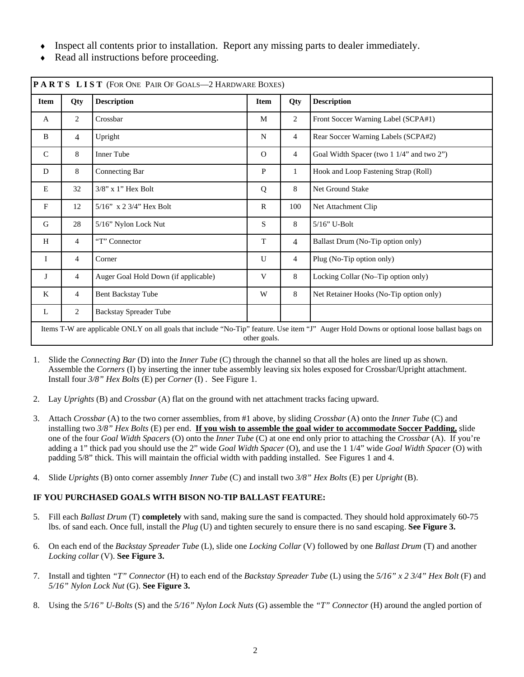- Inspect all contents prior to installation. Report any missing parts to dealer immediately.
- Read all instructions before proceeding.

| <b>Item</b>   | Qty            | <b>Description</b>                   | <b>Item</b>  | Qty            | <b>Description</b>                        |  |
|---------------|----------------|--------------------------------------|--------------|----------------|-------------------------------------------|--|
| A             | 2              | Crossbar                             | M            | $\overline{2}$ | Front Soccer Warning Label (SCPA#1)       |  |
| B             | $\overline{4}$ | Upright                              | N            | $\overline{4}$ | Rear Soccer Warning Labels (SCPA#2)       |  |
| $\mathcal{C}$ | 8              | <b>Inner Tube</b>                    | $\Omega$     | $\overline{4}$ | Goal Width Spacer (two 1 1/4" and two 2") |  |
| D             | 8              | Connecting Bar                       | $\mathbf{P}$ | 1              | Hook and Loop Fastening Strap (Roll)      |  |
| E             | 32             | $3/8$ " x 1" Hex Bolt                | Q            | 8              | Net Ground Stake                          |  |
| F             | 12             | $5/16$ " x 2 3/4" Hex Bolt           | R            | 100            | Net Attachment Clip                       |  |
| G             | 28             | 5/16" Nylon Lock Nut                 | S            | 8              | $5/16$ " U-Bolt                           |  |
| H             | $\overline{4}$ | "T" Connector                        | T            | $\overline{4}$ | Ballast Drum (No-Tip option only)         |  |
| I             | $\overline{4}$ | Corner                               | U            | 4              | Plug (No-Tip option only)                 |  |
| J             | $\overline{4}$ | Auger Goal Hold Down (if applicable) | V            | 8              | Locking Collar (No-Tip option only)       |  |
| K             | $\overline{4}$ | Bent Backstay Tube                   | W            | 8              | Net Retainer Hooks (No-Tip option only)   |  |
| L             | 2              | <b>Backstay Spreader Tube</b>        |              |                |                                           |  |

- 1. Slide the *Connecting Bar* (D) into the *Inner Tube* (C) through the channel so that all the holes are lined up as shown. Assemble the *Corners* (I) by inserting the inner tube assembly leaving six holes exposed for Crossbar/Upright attachment. Install four *3/8" Hex Bolts* (E) per *Corner* (I) . See Figure 1.
- 2. Lay *Uprights* (B) and *Crossbar* (A) flat on the ground with net attachment tracks facing upward.
- 3. Attach *Crossbar* (A) to the two corner assemblies, from #1 above, by sliding *Crossbar* (A) onto the *Inner Tube* (C) and installing two *3/8" Hex Bolts* (E) per end. **If you wish to assemble the goal wider to accommodate Soccer Padding,** slide one of the four *Goal Width Spacers* (O) onto the *Inner Tube* (C) at one end only prior to attaching the *Crossbar* (A). If you're adding a 1" thick pad you should use the 2" wide *Goal Width Spacer* (O), and use the 1 1/4" wide *Goal Width Spacer* (O) with padding 5/8" thick. This will maintain the official width with padding installed. See Figures 1 and 4.
- 4. Slide *Uprights* (B) onto corner assembly *Inner Tube* (C) and install two *3/8" Hex Bolts* (E) per *Upright* (B).

#### **IF YOU PURCHASED GOALS WITH BISON NO-TIP BALLAST FEATURE:**

- 5. Fill each *Ballast Drum* (T) **completely** with sand, making sure the sand is compacted. They should hold approximately 60-75 lbs. of sand each. Once full, install the *Plug* (U) and tighten securely to ensure there is no sand escaping. **See Figure 3.**
- 6. On each end of the *Backstay Spreader Tube* (L), slide one *Locking Collar* (V) followed by one *Ballast Drum* (T) and another *Locking collar* (V). **See Figure 3.**
- 7. Install and tighten *"T" Connector* (H) to each end of the *Backstay Spreader Tube* (L) using the *5/16" x 2 3/4" Hex Bolt* (F) and *5/16" Nylon Lock Nut* (G). **See Figure 3.**
- 8. Using the *5/16" U-Bolts* (S) and the *5/16" Nylon Lock Nuts* (G) assemble the *"T" Connector* (H) around the angled portion of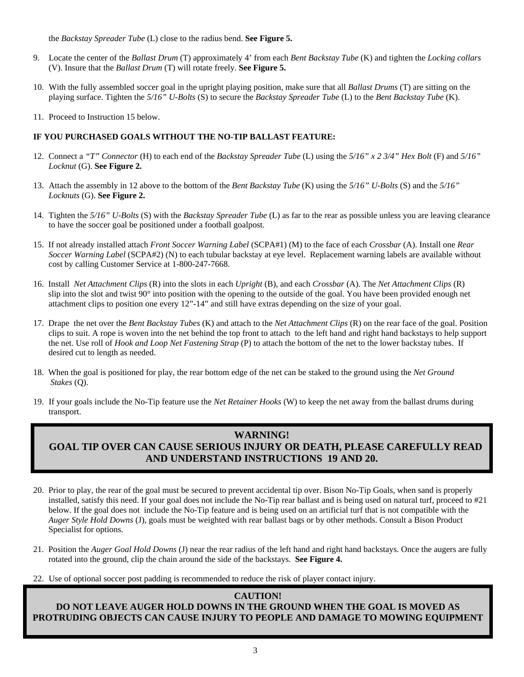the *Backstay Spreader Tube* (L) close to the radius bend. **See Figure 5.** 

- 9. Locate the center of the *Ballast Drum* (T) approximately 4' from each *Bent Backstay Tube* (K) and tighten the *Locking collars*  (V). Insure that the *Ballast Drum* (T) will rotate freely. **See Figure 5.**
- 10. With the fully assembled soccer goal in the upright playing position, make sure that all *Ballast Drums* (T) are sitting on the playing surface. Tighten the *5/16" U-Bolts* (S) to secure the *Backstay Spreader Tube* (L) to the *Bent Backstay Tube* (K).
- 11. Proceed to Instruction 15 below.

#### **IF YOU PURCHASED GOALS WITHOUT THE NO-TIP BALLAST FEATURE:**

- 12. Connect a *"T" Connector* (H) to each end of the *Backstay Spreader Tube* (L) using the *5/16" x 2 3/4" Hex Bolt* (F) and *5/16" Locknut* (G). **See Figure 2.**
- 13. Attach the assembly in 12 above to the bottom of the *Bent Backstay Tube* (K) using the *5/16" U-Bolts* (S) and the *5/16" Locknuts* (G). **See Figure 2.**
- 14. Tighten the *5/16" U-Bolts* (S) with the *Backstay Spreader Tube* (L) as far to the rear as possible unless you are leaving clearance to have the soccer goal be positioned under a football goalpost.
- 15. If not already installed attach *Front Soccer Warning Label* (SCPA#1) (M) to the face of each *Crossbar* (A). Install one *Rear Soccer Warning Label* (SCPA#2) (N) to each tubular backstay at eye level. Replacement warning labels are available without cost by calling Customer Service at 1-800-247-7668.
- 16. Install *Net Attachment Clips* (R) into the slots in each *Upright* (B), and each *Crossbar* (A). The *Net Attachment Clips* (R) slip into the slot and twist  $90^\circ$  into position with the opening to the outside of the goal. You have been provided enough net attachment clips to position one every 12"-14" and still have extras depending on the size of your goal.
- 17. Drape the net over the *Bent Backstay Tubes* (K) and attach to the *Net Attachment Clips* (R) on the rear face of the goal. Position clips to suit. A rope is woven into the net behind the top front to attach to the left hand and right hand backstays to help support the net. Use roll of *Hook and Loop Net Fastening Strap* (P) to attach the bottom of the net to the lower backstay tubes. If desired cut to length as needed.
- 18. When the goal is positioned for play, the rear bottom edge of the net can be staked to the ground using the *Net Ground Stakes* (Q).
- 19. If your goals include the No-Tip feature use the *Net Retainer Hooks* (W) to keep the net away from the ballast drums during transport.

#### **WARNING!**

## **GOAL TIP OVER CAN CAUSE SERIOUS INJURY OR DEATH, PLEASE CAREFULLY READ AND UNDERSTAND INSTRUCTIONS 19 AND 20.**

- 20. Prior to play, the rear of the goal must be secured to prevent accidental tip over. Bison No-Tip Goals, when sand is properly installed, satisfy this need. If your goal does not include the No-Tip rear ballast and is being used on natural turf, proceed to #21 below. If the goal does not include the No-Tip feature and is being used on an artificial turf that is not compatible with the *Auger Style Hold Downs* (J), goals must be weighted with rear ballast bags or by other methods. Consult a Bison Product Specialist for options.
- 21. Position the *Auger Goal Hold Downs* (J) near the rear radius of the left hand and right hand backstays. Once the augers are fully rotated into the ground, clip the chain around the side of the backstays. **See Figure 4.**
- 22. Use of optional soccer post padding is recommended to reduce the risk of player contact injury.

#### **CAUTION!**

**DO NOT LEAVE AUGER HOLD DOWNS IN THE GROUND WHEN THE GOAL IS MOVED AS PROTRUDING OBJECTS CAN CAUSE INJURY TO PEOPLE AND DAMAGE TO MOWING EQUIPMENT**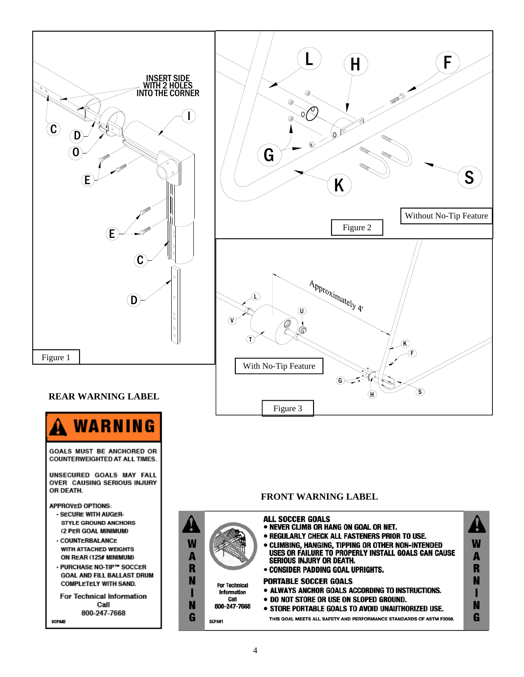

#### **REAR WARNING LABEL**



**COUNTERWEIGHTED AT ALL TIMES.** 

UNSECURED GOALS MAY FALL<br>OVER CAUSING SERIOUS INJURY OR DEATH.

**APPROVED OPTIONS:** 

- SECURE WITH AUGER-**STYLE GROUND ANCHORS** (2 PER GOAL MINIMUM)
- · COUNTERBALANCE **WITH ATTACHED WEIGHTS** ON REAR (125# MINIMUM)
- . PURCHASE NO-TIP™ SOCCER **GOAL AND FILL BALLAST DRUM COMPLETELY WITH SAND.**

For Technical Information Call 800-247-7668 **SCPA#2** 

#### **FRONT WARNING LABEL**

Figure 3

| W<br>R |                                                                    | ALL SOCCER GOALS<br>• NEVER CLIMB OR HANG ON GOAL OR NET.<br>• REGULARLY CHECK ALL FASTENERS PRIOR TO USE.<br>• CLIMBING, HANGING, TIPPING OR OTHER NON-INTENDED<br>USES OR FAILURE TO PROPERLY INSTALL GOALS CAN CAUSE<br><b>SERIOUS INJURY OR DEATH.</b><br>• CONSIDER PADDING GOAL UPRIGHTS. | W |
|--------|--------------------------------------------------------------------|-------------------------------------------------------------------------------------------------------------------------------------------------------------------------------------------------------------------------------------------------------------------------------------------------|---|
| N<br>N | <b>For Technical</b><br><b>Information</b><br>Call<br>800-247-7668 | <b>PORTABLE SOCCER GOALS</b><br>• ALWAYS ANCHOR GOALS ACCORDING TO INSTRUCTIONS.<br>• DO NOT STORE OR USE ON SLOPED GROUND.<br>• STORE PORTABLE GOALS TO AVOID UNAUTHORIZED USE.                                                                                                                |   |
|        | SCPA#1                                                             | THIS GOAL MEETS ALL SAFETY AND PERFORMANCE STANDARDS OF ASTM F2056.                                                                                                                                                                                                                             |   |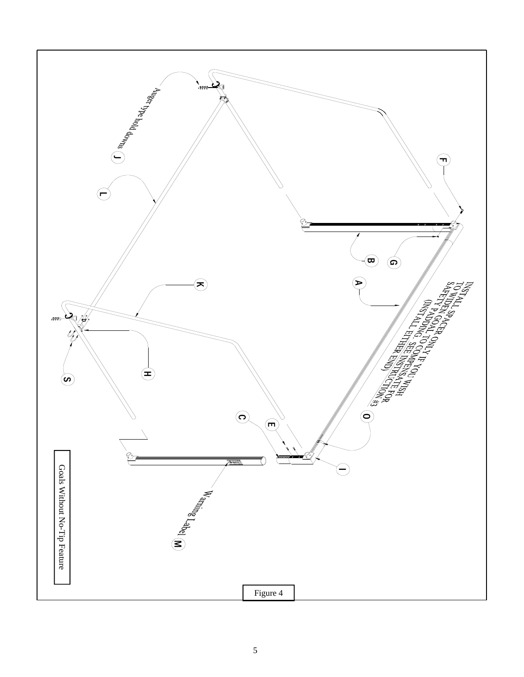